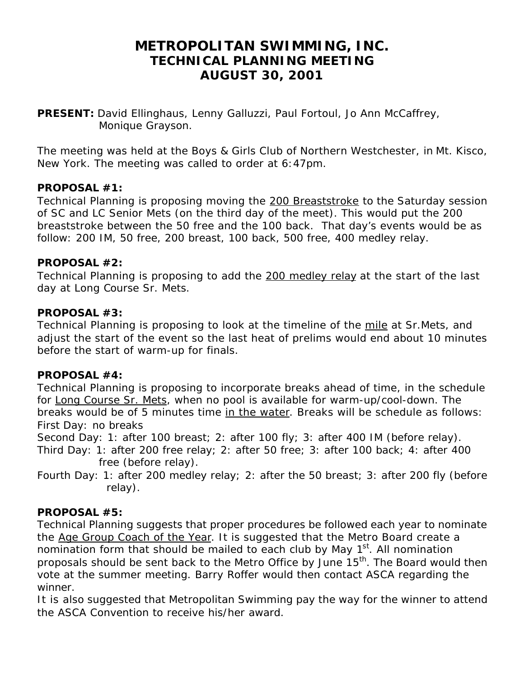# **METROPOLITAN SWIMMING, INC. TECHNICAL PLANNING MEETING AUGUST 30, 2001**

**PRESENT:** David Ellinghaus, Lenny Galluzzi, Paul Fortoul, Jo Ann McCaffrey, Monique Grayson.

The meeting was held at the Boys & Girls Club of Northern Westchester, in Mt. Kisco, New York. The meeting was called to order at 6:47pm.

# **PROPOSAL #1:**

Technical Planning is proposing moving the 200 Breaststroke to the Saturday session of SC and LC Senior Mets (on the third day of the meet). This would put the 200 breaststroke between the 50 free and the 100 back. That day's events would be as follow: 200 IM, 50 free, 200 breast, 100 back, 500 free, 400 medley relay.

# **PROPOSAL #2:**

Technical Planning is proposing to add the 200 medley relay at the start of the last day at Long Course Sr. Mets.

# **PROPOSAL #3:**

Technical Planning is proposing to look at the timeline of the mile at Sr.Mets, and adjust the start of the event so the last heat of prelims would end about 10 minutes before the start of warm-up for finals.

## **PROPOSAL #4:**

Technical Planning is proposing to incorporate breaks ahead of time, in the schedule for Long Course Sr. Mets, when no pool is available for warm-up/cool-down. The breaks would be of 5 minutes time in the water. Breaks will be schedule as follows: First Day: no breaks

Second Day: 1: after 100 breast; 2: after 100 fly; 3: after 400 IM (before relay).

Third Day: 1: after 200 free relay; 2: after 50 free; 3: after 100 back; 4: after 400 free (before relay).

Fourth Day: 1: after 200 medley relay; 2: after the 50 breast; 3: after 200 fly (before relay).

# **PROPOSAL #5:**

Technical Planning suggests that proper procedures be followed each year to nominate the Age Group Coach of the Year. It is suggested that the Metro Board create a nomination form that should be mailed to each club by May 1<sup>st</sup>. All nomination proposals should be sent back to the Metro Office by June 15<sup>th</sup>. The Board would then vote at the summer meeting. Barry Roffer would then contact ASCA regarding the winner.

It is also suggested that Metropolitan Swimming pay the way for the winner to attend the ASCA Convention to receive his/her award.